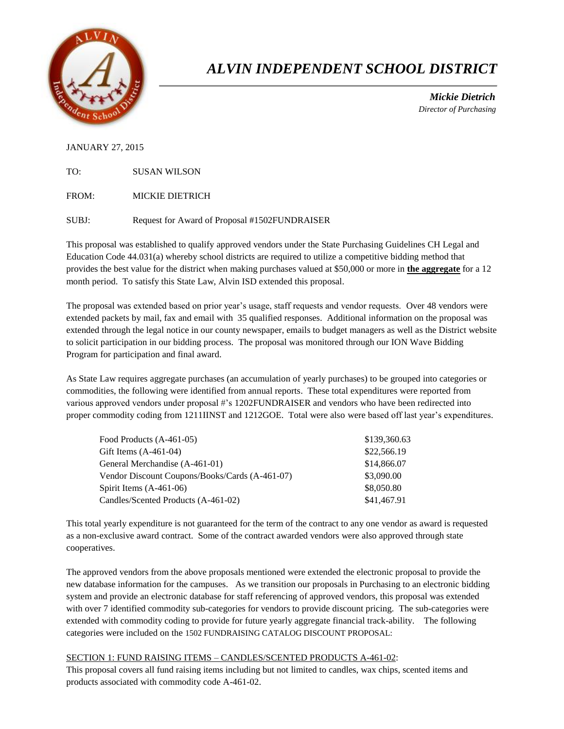

# *ALVIN INDEPENDENT SCHOOL DISTRICT*

 *Mickie Dietrich Director of Purchasing*

## JANUARY 27, 2015

TO: SUSAN WILSON

FROM: MICKIE DIETRICH

SUBJ: Request for Award of Proposal #1502FUNDRAISER

This proposal was established to qualify approved vendors under the State Purchasing Guidelines CH Legal and Education Code 44.031(a) whereby school districts are required to utilize a competitive bidding method that provides the best value for the district when making purchases valued at \$50,000 or more in **the aggregate** for a 12 month period. To satisfy this State Law, Alvin ISD extended this proposal.

The proposal was extended based on prior year's usage, staff requests and vendor requests. Over 48 vendors were extended packets by mail, fax and email with 35 qualified responses. Additional information on the proposal was extended through the legal notice in our county newspaper, emails to budget managers as well as the District website to solicit participation in our bidding process. The proposal was monitored through our ION Wave Bidding Program for participation and final award.

As State Law requires aggregate purchases (an accumulation of yearly purchases) to be grouped into categories or commodities, the following were identified from annual reports. These total expenditures were reported from various approved vendors under proposal #'s 1202FUNDRAISER and vendors who have been redirected into proper commodity coding from 1211IINST and 1212GOE. Total were also were based off last year's expenditures.

| Food Products (A-461-05)                       | \$139,360.63 |
|------------------------------------------------|--------------|
| Gift Items $(A-461-04)$                        | \$22,566.19  |
| General Merchandise (A-461-01)                 | \$14,866.07  |
| Vendor Discount Coupons/Books/Cards (A-461-07) | \$3,090.00   |
| Spirit Items $(A-461-06)$                      | \$8,050.80   |
| Candles/Scented Products (A-461-02)            | \$41,467.91  |

This total yearly expenditure is not guaranteed for the term of the contract to any one vendor as award is requested as a non-exclusive award contract. Some of the contract awarded vendors were also approved through state cooperatives.

The approved vendors from the above proposals mentioned were extended the electronic proposal to provide the new database information for the campuses. As we transition our proposals in Purchasing to an electronic bidding system and provide an electronic database for staff referencing of approved vendors, this proposal was extended with over 7 identified commodity sub-categories for vendors to provide discount pricing. The sub-categories were extended with commodity coding to provide for future yearly aggregate financial track-ability. The following categories were included on the 1502 FUNDRAISING CATALOG DISCOUNT PROPOSAL:

## SECTION 1: FUND RAISING ITEMS – CANDLES/SCENTED PRODUCTS A-461-02:

This proposal covers all fund raising items including but not limited to candles, wax chips, scented items and products associated with commodity code A-461-02.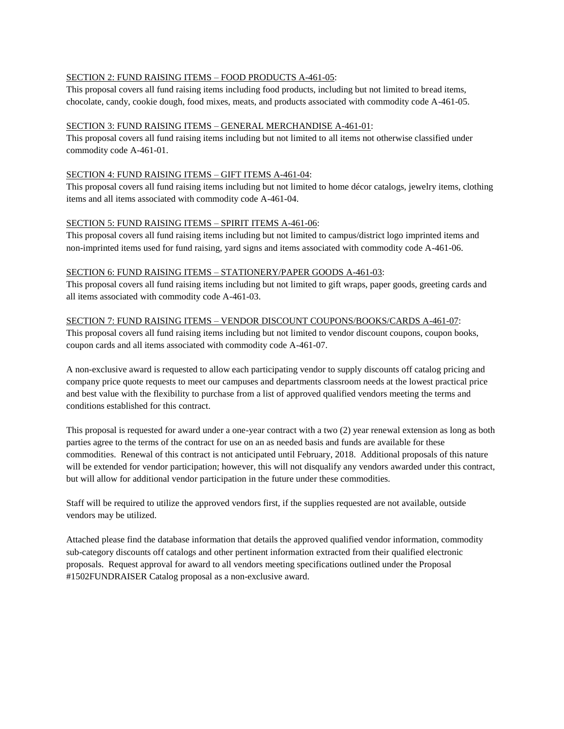### SECTION 2: FUND RAISING ITEMS – FOOD PRODUCTS A-461-05:

This proposal covers all fund raising items including food products, including but not limited to bread items, chocolate, candy, cookie dough, food mixes, meats, and products associated with commodity code A-461-05.

#### SECTION 3: FUND RAISING ITEMS – GENERAL MERCHANDISE A-461-01:

This proposal covers all fund raising items including but not limited to all items not otherwise classified under commodity code A-461-01.

#### SECTION 4: FUND RAISING ITEMS – GIFT ITEMS A-461-04:

This proposal covers all fund raising items including but not limited to home décor catalogs, jewelry items, clothing items and all items associated with commodity code A-461-04.

#### SECTION 5: FUND RAISING ITEMS – SPIRIT ITEMS A-461-06:

This proposal covers all fund raising items including but not limited to campus/district logo imprinted items and non-imprinted items used for fund raising, yard signs and items associated with commodity code A-461-06.

#### SECTION 6: FUND RAISING ITEMS – STATIONERY/PAPER GOODS A-461-03:

This proposal covers all fund raising items including but not limited to gift wraps, paper goods, greeting cards and all items associated with commodity code A-461-03.

#### SECTION 7: FUND RAISING ITEMS – VENDOR DISCOUNT COUPONS/BOOKS/CARDS A-461-07:

This proposal covers all fund raising items including but not limited to vendor discount coupons, coupon books, coupon cards and all items associated with commodity code A-461-07.

A non-exclusive award is requested to allow each participating vendor to supply discounts off catalog pricing and company price quote requests to meet our campuses and departments classroom needs at the lowest practical price and best value with the flexibility to purchase from a list of approved qualified vendors meeting the terms and conditions established for this contract.

This proposal is requested for award under a one-year contract with a two (2) year renewal extension as long as both parties agree to the terms of the contract for use on an as needed basis and funds are available for these commodities. Renewal of this contract is not anticipated until February, 2018. Additional proposals of this nature will be extended for vendor participation; however, this will not disqualify any vendors awarded under this contract, but will allow for additional vendor participation in the future under these commodities.

Staff will be required to utilize the approved vendors first, if the supplies requested are not available, outside vendors may be utilized.

Attached please find the database information that details the approved qualified vendor information, commodity sub-category discounts off catalogs and other pertinent information extracted from their qualified electronic proposals. Request approval for award to all vendors meeting specifications outlined under the Proposal #1502FUNDRAISER Catalog proposal as a non-exclusive award.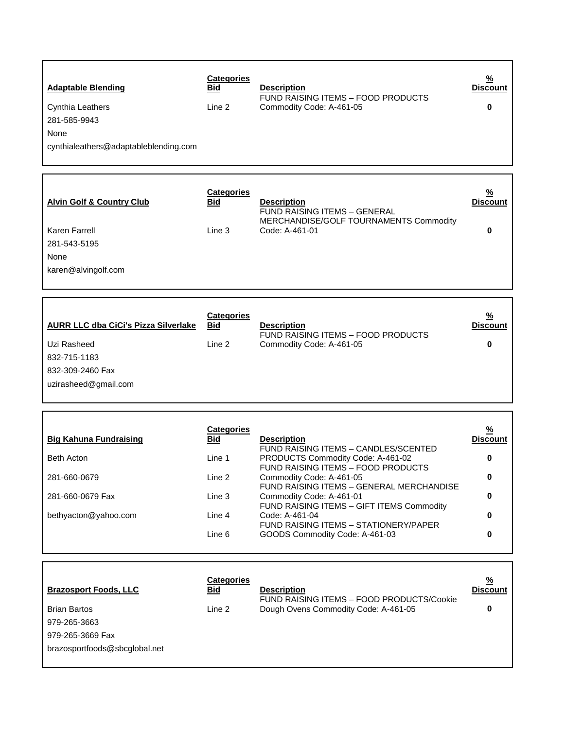| <b>Adaptable Blending</b><br>Cynthia Leathers<br>281-585-9943<br>None<br>cynthialeathers@adaptableblending.com           | <b>Categories</b><br>Bid<br>Line 2                                                | <b>Description</b><br><b>FUND RAISING ITEMS - FOOD PRODUCTS</b><br>Commodity Code: A-461-05                                                                                                                                                                                                                                                                                                | <u>%</u><br><b>Discount</b><br>0                            |
|--------------------------------------------------------------------------------------------------------------------------|-----------------------------------------------------------------------------------|--------------------------------------------------------------------------------------------------------------------------------------------------------------------------------------------------------------------------------------------------------------------------------------------------------------------------------------------------------------------------------------------|-------------------------------------------------------------|
| <b>Alvin Golf &amp; Country Club</b><br>Karen Farrell<br>281-543-5195<br>None<br>karen@alvingolf.com                     | <b>Categories</b><br>Bid<br>Line 3                                                | <b>Description</b><br><b>FUND RAISING ITEMS - GENERAL</b><br>MERCHANDISE/GOLF TOURNAMENTS Commodity<br>Code: A-461-01                                                                                                                                                                                                                                                                      | <u>%</u><br><b>Discount</b><br>0                            |
| <b>AURR LLC dba CiCi's Pizza Silverlake</b><br>Uzi Rasheed<br>832-715-1183<br>832-309-2460 Fax<br>uzirasheed@gmail.com   | <b>Categories</b><br><b>Bid</b><br>Line 2                                         | <b>Description</b><br>FUND RAISING ITEMS - FOOD PRODUCTS<br>Commodity Code: A-461-05                                                                                                                                                                                                                                                                                                       | <u>%</u><br><b>Discount</b><br>0                            |
| <b>Big Kahuna Fundraising</b><br><b>Beth Acton</b><br>281-660-0679<br>281-660-0679 Fax<br>bethyacton@yahoo.com           | <b>Categories</b><br><b>Bid</b><br>Line 1<br>Line 2<br>Line 3<br>Line 4<br>Line 6 | <b>Description</b><br><b>FUND RAISING ITEMS - CANDLES/SCENTED</b><br>PRODUCTS Commodity Code: A-461-02<br>FUND RAISING ITEMS - FOOD PRODUCTS<br>Commodity Code: A-461-05<br>FUND RAISING ITEMS - GENERAL MERCHANDISE<br>Commodity Code: A-461-01<br>FUND RAISING ITEMS - GIFT ITEMS Commodity<br>Code: A-461-04<br>FUND RAISING ITEMS - STATIONERY/PAPER<br>GOODS Commodity Code: A-461-03 | <u>%</u><br><b>Discount</b><br>0<br>0<br>0<br>0<br>$\bf{0}$ |
| <b>Brazosport Foods, LLC</b><br><b>Brian Bartos</b><br>979-265-3663<br>979-265-3669 Fax<br>brazosportfoods@sbcglobal.net | <b>Categories</b><br>Bid<br>Line 2                                                | <b>Description</b><br>FUND RAISING ITEMS - FOOD PRODUCTS/Cookie<br>Dough Ovens Commodity Code: A-461-05                                                                                                                                                                                                                                                                                    | $\frac{9}{6}$<br><b>Discount</b><br>0                       |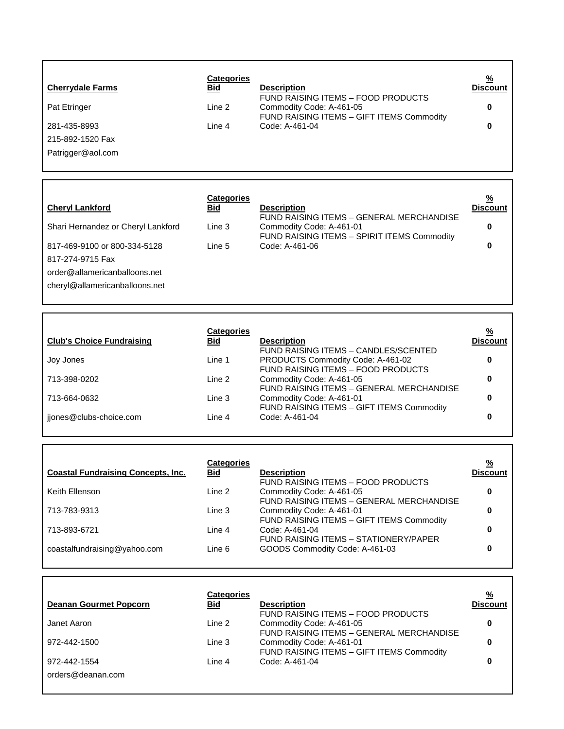|                         | Categories |                                           | $\frac{9}{6}$ |
|-------------------------|------------|-------------------------------------------|---------------|
| <b>Cherrydale Farms</b> | <b>Bid</b> | <b>Description</b>                        | Discount      |
|                         |            | FUND RAISING ITEMS - FOOD PRODUCTS        |               |
| <b>Pat Etringer</b>     | Line 2     | Commodity Code: A-461-05                  | 0             |
|                         |            | FUND RAISING ITEMS - GIFT ITEMS Commodity |               |
| 281-435-8993            | Line 4     | Code: A-461-04                            | 0             |
| 215-892-1520 Fax        |            |                                           |               |
| Patrigger@aol.com       |            |                                           |               |
|                         |            |                                           |               |

| <b>Cheryl Lankford</b>             | <b>Categories</b><br>Bid | <b>Description</b>                                                                                                  | $\frac{9}{6}$<br><b>Discount</b> |
|------------------------------------|--------------------------|---------------------------------------------------------------------------------------------------------------------|----------------------------------|
| Shari Hernandez or Cheryl Lankford | Line 3                   | FUND RAISING ITEMS - GENERAL MERCHANDISE<br>Commodity Code: A-461-01<br>FUND RAISING ITEMS - SPIRIT ITEMS Commodity | 0                                |
| 817-469-9100 or 800-334-5128       | Line 5                   | Code: A-461-06                                                                                                      | 0                                |
| 817-274-9715 Fax                   |                          |                                                                                                                     |                                  |
| order@allamericanballoons.net      |                          |                                                                                                                     |                                  |
| cheryl@allamericanballoons.net     |                          |                                                                                                                     |                                  |
|                                    |                          |                                                                                                                     |                                  |
|                                    |                          |                                                                                                                     |                                  |

| <b>Club's Choice Fundraising</b> | <b>Categories</b><br>Bid | <b>Description</b>                                                                                              | <u>%</u><br><b>Discount</b> |
|----------------------------------|--------------------------|-----------------------------------------------------------------------------------------------------------------|-----------------------------|
| Joy Jones                        | Line 1                   | FUND RAISING ITEMS - CANDLES/SCENTED<br>PRODUCTS Commodity Code: A-461-02<br>FUND RAISING ITEMS - FOOD PRODUCTS |                             |
| 713-398-0202                     | Line 2                   | Commodity Code: A-461-05<br>FUND RAISING ITEMS - GENERAL MERCHANDISE                                            |                             |
| 713-664-0632                     | Line 3                   | Commodity Code: A-461-01<br>FUND RAISING ITEMS - GIFT ITEMS Commodity                                           |                             |
| jiones@clubs-choice.com          | Line 4                   | Code: A-461-04                                                                                                  |                             |

 $\mathsf{r}$ 

 $\mathsf{r}$ 

| <b>Coastal Fundraising Concepts, Inc.</b> | <b>Categories</b><br>Bid | <b>Description</b>                                                    | $\frac{9}{6}$<br><b>Discount</b> |
|-------------------------------------------|--------------------------|-----------------------------------------------------------------------|----------------------------------|
| Keith Ellenson                            | Line 2                   | <b>FUND RAISING ITEMS - FOOD PRODUCTS</b><br>Commodity Code: A-461-05 |                                  |
|                                           |                          | FUND RAISING ITEMS - GENERAL MERCHANDISE                              |                                  |
| 713-783-9313                              | Line 3                   | Commodity Code: A-461-01<br>FUND RAISING ITEMS - GIFT ITEMS Commodity |                                  |
| 713-893-6721                              | Line 4                   | Code: A-461-04<br>FUND RAISING ITEMS - STATIONERY/PAPER               |                                  |
| coastalfundraising@yahoo.com              | Line 6                   | GOODS Commodity Code: A-461-03                                        |                                  |
|                                           |                          |                                                                       |                                  |

| <b>Deanan Gourmet Popcorn</b> | <b>Categories</b><br>Bid | <b>Description</b><br>FUND RAISING ITEMS - FOOD PRODUCTS              | <u>%</u><br><b>Discount</b> |
|-------------------------------|--------------------------|-----------------------------------------------------------------------|-----------------------------|
| Janet Aaron                   | Line 2                   | Commodity Code: A-461-05<br>FUND RAISING ITEMS - GENERAL MERCHANDISE  |                             |
| 972-442-1500                  | Line 3                   | Commodity Code: A-461-01<br>FUND RAISING ITEMS - GIFT ITEMS Commodity |                             |
| 972-442-1554                  | Line 4                   | Code: A-461-04                                                        |                             |
| orders@deanan.com             |                          |                                                                       |                             |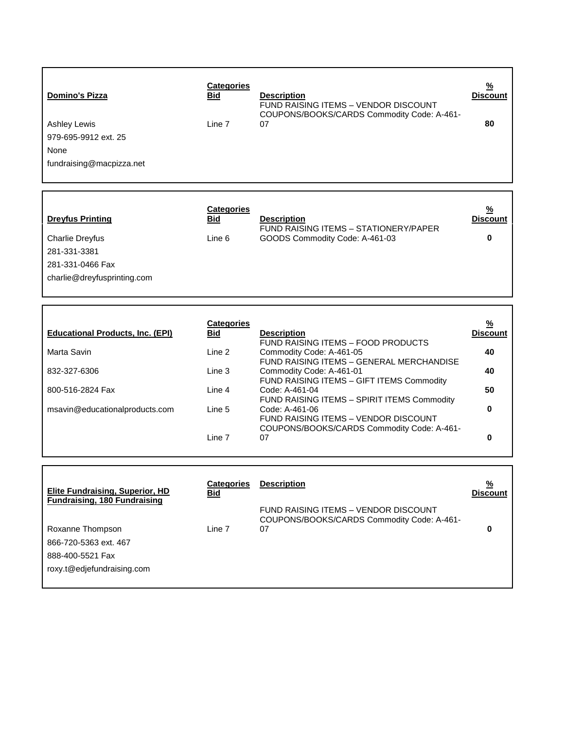| <b>Domino's Pizza</b>    | <b>Categories</b><br><b>Bid</b> | <b>Description</b><br>FUND RAISING ITEMS - VENDOR DISCOUNT<br>COUPONS/BOOKS/CARDS Commodity Code: A-461- | <u>%</u><br><b>Discount</b> |
|--------------------------|---------------------------------|----------------------------------------------------------------------------------------------------------|-----------------------------|
| Ashley Lewis             | Line 7                          | 07                                                                                                       | 80                          |
| 979-695-9912 ext. 25     |                                 |                                                                                                          |                             |
| None                     |                                 |                                                                                                          |                             |
| fundraising@macpizza.net |                                 |                                                                                                          |                             |
|                          |                                 |                                                                                                          |                             |

| <b>Dreyfus Printing</b>     | <b>Categories</b><br><u>Bid</u> | <b>Description</b><br>FUND RAISING ITEMS - STATIONERY/PAPER | $\frac{9}{6}$<br><b>Discount</b> |
|-----------------------------|---------------------------------|-------------------------------------------------------------|----------------------------------|
| Charlie Dreyfus             | Line 6                          | GOODS Commodity Code: A-461-03                              | 0                                |
| 281-331-3381                |                                 |                                                             |                                  |
| 281-331-0466 Fax            |                                 |                                                             |                                  |
| charlie@dreyfusprinting.com |                                 |                                                             |                                  |

|                                         | <b>Categories</b> |                                             | <u>%</u>        |
|-----------------------------------------|-------------------|---------------------------------------------|-----------------|
| <b>Educational Products, Inc. (EPI)</b> | Bid               | <b>Description</b>                          | <b>Discount</b> |
|                                         |                   | FUND RAISING ITEMS - FOOD PRODUCTS          |                 |
| Marta Savin                             | Line 2            | Commodity Code: A-461-05                    | 40              |
|                                         |                   | FUND RAISING ITEMS - GENERAL MERCHANDISE    |                 |
| 832-327-6306                            | Line 3            | Commodity Code: A-461-01                    | 40              |
|                                         |                   | FUND RAISING ITEMS - GIFT ITEMS Commodity   |                 |
| 800-516-2824 Fax                        | Line 4            | Code: A-461-04                              | 50              |
|                                         |                   | FUND RAISING ITEMS - SPIRIT ITEMS Commodity |                 |
| msavin@educationalproducts.com          | Line 5            | Code: A-461-06                              |                 |
|                                         |                   | FUND RAISING ITEMS - VENDOR DISCOUNT        |                 |
|                                         |                   | COUPONS/BOOKS/CARDS Commodity Code: A-461-  |                 |
|                                         | Line 7            | 07                                          |                 |

| Elite Fundraising, Superior, HD<br><b>Fundraising, 180 Fundraising</b> | Categories<br><u>Bid</u> | <b>Description</b>                                                                 | $\frac{9}{6}$<br><b>Discount</b> |
|------------------------------------------------------------------------|--------------------------|------------------------------------------------------------------------------------|----------------------------------|
|                                                                        |                          | FUND RAISING ITEMS - VENDOR DISCOUNT<br>COUPONS/BOOKS/CARDS Commodity Code: A-461- |                                  |
| Roxanne Thompson                                                       | Line 7                   | 07                                                                                 |                                  |
| 866-720-5363 ext. 467                                                  |                          |                                                                                    |                                  |
| 888-400-5521 Fax                                                       |                          |                                                                                    |                                  |
| roxy.t@edjefundraising.com                                             |                          |                                                                                    |                                  |
|                                                                        |                          |                                                                                    |                                  |

 $\Gamma$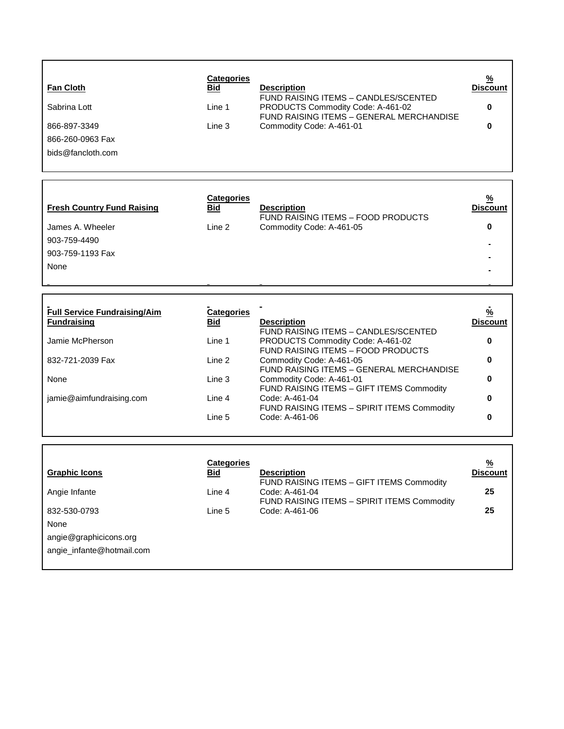| <b>Fan Cloth</b><br>Sabrina Lott<br>866-897-3349<br>866-260-0963 Fax<br>bids@fancloth.com                                            | <b>Categories</b><br>Bid<br>Line 1<br>Line 3                                      | <b>Description</b><br>FUND RAISING ITEMS - CANDLES/SCENTED<br>PRODUCTS Commodity Code: A-461-02<br>FUND RAISING ITEMS - GENERAL MERCHANDISE<br>Commodity Code: A-461-01                                                                                                                                                                                                   | <u>%</u><br><b>Discount</b><br>0<br>$\bf{0}$                            |
|--------------------------------------------------------------------------------------------------------------------------------------|-----------------------------------------------------------------------------------|---------------------------------------------------------------------------------------------------------------------------------------------------------------------------------------------------------------------------------------------------------------------------------------------------------------------------------------------------------------------------|-------------------------------------------------------------------------|
| <b>Fresh Country Fund Raising</b><br>James A. Wheeler<br>903-759-4490<br>903-759-1193 Fax<br>None                                    | <b>Categories</b><br>Bid<br>Line 2                                                | <b>Description</b><br>FUND RAISING ITEMS - FOOD PRODUCTS<br>Commodity Code: A-461-05                                                                                                                                                                                                                                                                                      | $\frac{9}{6}$<br><b>Discount</b><br>0                                   |
| <b>Full Service Fundraising/Aim</b><br><b>Fundraising</b><br>Jamie McPherson<br>832-721-2039 Fax<br>None<br>jamie@aimfundraising.com | <b>Categories</b><br><b>Bid</b><br>Line 1<br>Line 2<br>Line 3<br>Line 4<br>Line 5 | <b>Description</b><br>FUND RAISING ITEMS - CANDLES/SCENTED<br>PRODUCTS Commodity Code: A-461-02<br>FUND RAISING ITEMS - FOOD PRODUCTS<br>Commodity Code: A-461-05<br>FUND RAISING ITEMS - GENERAL MERCHANDISE<br>Commodity Code: A-461-01<br>FUND RAISING ITEMS - GIFT ITEMS Commodity<br>Code: A-461-04<br>FUND RAISING ITEMS - SPIRIT ITEMS Commodity<br>Code: A-461-06 | $\frac{0}{2}$<br><b>Discount</b><br>0<br>0<br>$\bf{0}$<br>$\bf{0}$<br>0 |
| <b>Graphic Icons</b><br>Angie Infante                                                                                                | <b>Categories</b><br>Bid<br>Line 4                                                | <b>Description</b><br>FUND RAISING ITEMS - GIFT ITEMS Commodity<br>Code: A-461-04<br>FUND RAISING ITEMS - SPIRIT ITEMS Commodity                                                                                                                                                                                                                                          | <u>%</u><br><b>Discount</b><br>25                                       |

Code: A-461-06 **25**

832-530-0793 Line 5

None

[angie@graphicicons.org](mailto:angie@graphicicons.org)  angie\_infante@hotmail.com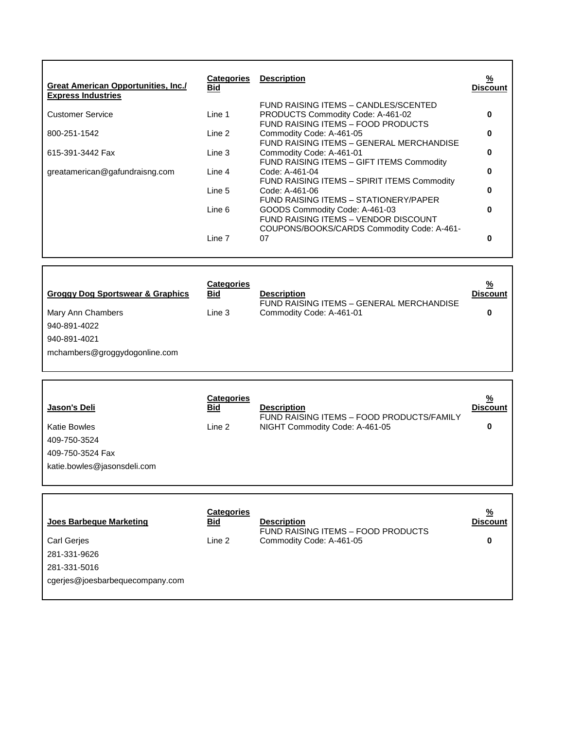| <b>Great American Opportunities, Inc./</b><br><b>Express Industries</b> | <b>Categories</b><br><b>Bid</b> | <b>Description</b>                                                                                                   | %<br><b>Discount</b> |
|-------------------------------------------------------------------------|---------------------------------|----------------------------------------------------------------------------------------------------------------------|----------------------|
| <b>Customer Service</b>                                                 | Line 1                          | FUND RAISING ITEMS - CANDLES/SCENTED<br>PRODUCTS Commodity Code: A-461-02<br>FUND RAISING ITEMS - FOOD PRODUCTS      |                      |
| 800-251-1542                                                            | Line 2                          | Commodity Code: A-461-05<br>FUND RAISING ITEMS - GENERAL MERCHANDISE                                                 | 0                    |
| 615-391-3442 Fax                                                        | Line 3                          | Commodity Code: A-461-01<br>FUND RAISING ITEMS - GIFT ITEMS Commodity                                                | n                    |
| greatamerican@gafundraisng.com                                          | Line 4                          | Code: A-461-04<br>FUND RAISING ITEMS - SPIRIT ITEMS Commodity                                                        | ŋ                    |
|                                                                         | Line 5                          | Code: A-461-06<br>FUND RAISING ITEMS - STATIONERY/PAPER                                                              | O                    |
|                                                                         | Line 6                          | GOODS Commodity Code: A-461-03<br>FUND RAISING ITEMS - VENDOR DISCOUNT<br>COUPONS/BOOKS/CARDS Commodity Code: A-461- | ŋ                    |
|                                                                         | Line 7                          | 07                                                                                                                   |                      |

| <b>Groggy Dog Sportswear &amp; Graphics</b> | <b>Categories</b><br><b>Bid</b> | <b>Description</b><br>FUND RAISING ITEMS - GENERAL MERCHANDISE | $\frac{9}{6}$<br><b>Discount</b> |
|---------------------------------------------|---------------------------------|----------------------------------------------------------------|----------------------------------|
| Mary Ann Chambers                           | Line 3                          | Commodity Code: A-461-01                                       | 0                                |
| 940-891-4022                                |                                 |                                                                |                                  |
| 940-891-4021                                |                                 |                                                                |                                  |
| mchambers@groggydogonline.com               |                                 |                                                                |                                  |
|                                             |                                 |                                                                |                                  |

| Jason's Deli                | <b>Categories</b><br><u>Bid</u> | <b>Description</b><br>FUND RAISING ITEMS - FOOD PRODUCTS/FAMILY | $\frac{9}{6}$<br><b>Discount</b> |
|-----------------------------|---------------------------------|-----------------------------------------------------------------|----------------------------------|
| <b>Katie Bowles</b>         | Line 2                          | NIGHT Commodity Code: A-461-05                                  |                                  |
| 409-750-3524                |                                 |                                                                 |                                  |
| 409-750-3524 Fax            |                                 |                                                                 |                                  |
| katie.bowles@jasonsdeli.com |                                 |                                                                 |                                  |
|                             |                                 |                                                                 |                                  |

 $\lceil$ 

| Joes Barbeque Marketing         | <b>Categories</b><br><u>Bid</u> | <b>Description</b><br>FUND RAISING ITEMS - FOOD PRODUCTS | $\frac{9}{6}$<br><b>Discount</b> |
|---------------------------------|---------------------------------|----------------------------------------------------------|----------------------------------|
| <b>Carl Geries</b>              | Line 2                          | Commodity Code: A-461-05                                 | 0                                |
| 281-331-9626                    |                                 |                                                          |                                  |
| 281-331-5016                    |                                 |                                                          |                                  |
| cgerjes@joesbarbequecompany.com |                                 |                                                          |                                  |
|                                 |                                 |                                                          |                                  |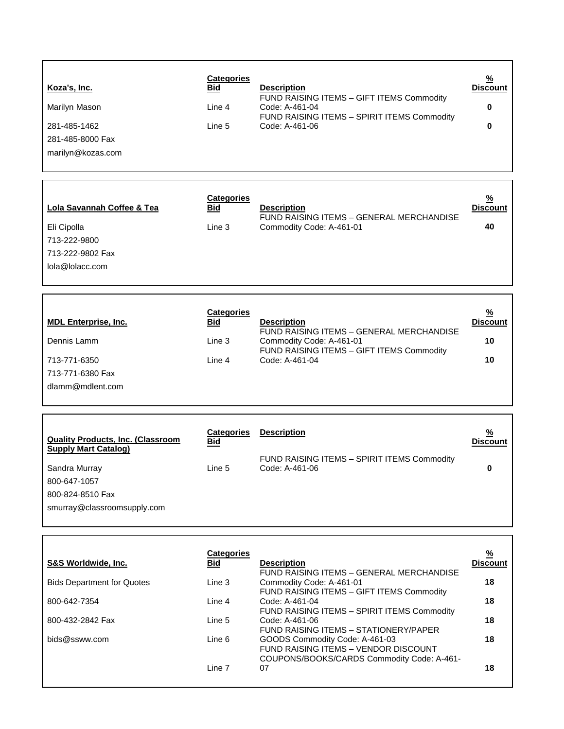| Koza's, Inc.<br>Marilyn Mason<br>281-485-1462<br>281-485-8000 Fax<br>marilyn@kozas.com                                                                      | <b>Categories</b><br>Bid<br>Line 4<br>Line 5                                      | <b>Description</b><br>FUND RAISING ITEMS - GIFT ITEMS Commodity<br>Code: A-461-04<br>FUND RAISING ITEMS - SPIRIT ITEMS Commodity<br>Code: A-461-06                                                                                                                                                                                                                                                | $\frac{9}{6}$<br><b>Discount</b><br>0<br>0                     |
|-------------------------------------------------------------------------------------------------------------------------------------------------------------|-----------------------------------------------------------------------------------|---------------------------------------------------------------------------------------------------------------------------------------------------------------------------------------------------------------------------------------------------------------------------------------------------------------------------------------------------------------------------------------------------|----------------------------------------------------------------|
| Lola Savannah Coffee & Tea<br>Eli Cipolla<br>713-222-9800<br>713-222-9802 Fax<br>lola@lolacc.com                                                            | <b>Categories</b><br><b>Bid</b><br>Line 3                                         | <b>Description</b><br>FUND RAISING ITEMS - GENERAL MERCHANDISE<br>Commodity Code: A-461-01                                                                                                                                                                                                                                                                                                        | $\frac{9}{6}$<br><b>Discount</b><br>40                         |
| <b>MDL Enterprise, Inc.</b><br>Dennis Lamm<br>713-771-6350<br>713-771-6380 Fax<br>dlamm@mdlent.com                                                          | <b>Categories</b><br><u>Bid</u><br>Line 3<br>Line 4                               | <b>Description</b><br>FUND RAISING ITEMS - GENERAL MERCHANDISE<br>Commodity Code: A-461-01<br>FUND RAISING ITEMS - GIFT ITEMS Commodity<br>Code: A-461-04                                                                                                                                                                                                                                         | $\frac{9}{6}$<br><b>Discount</b><br>10<br>10                   |
| <b>Quality Products, Inc. (Classroom</b><br><b>Supply Mart Catalog)</b><br>Sandra Murray<br>800-647-1057<br>800-824-8510 Fax<br>smurray@classroomsupply.com | <b>Categories</b><br>Bid<br>Line 5                                                | <b>Description</b><br>FUND RAISING ITEMS - SPIRIT ITEMS Commodity<br>Code: A-461-06                                                                                                                                                                                                                                                                                                               | <u>%</u><br><b>Discount</b><br>0                               |
| <b>S&amp;S Worldwide, Inc.</b><br><b>Bids Department for Quotes</b><br>800-642-7354<br>800-432-2842 Fax<br>bids@ssww.com                                    | <b>Categories</b><br><u>Bid</u><br>Line 3<br>Line 4<br>Line 5<br>Line 6<br>Line 7 | <b>Description</b><br>FUND RAISING ITEMS - GENERAL MERCHANDISE<br>Commodity Code: A-461-01<br>FUND RAISING ITEMS - GIFT ITEMS Commodity<br>Code: A-461-04<br>FUND RAISING ITEMS - SPIRIT ITEMS Commodity<br>Code: A-461-06<br>FUND RAISING ITEMS - STATIONERY/PAPER<br>GOODS Commodity Code: A-461-03<br>FUND RAISING ITEMS - VENDOR DISCOUNT<br>COUPONS/BOOKS/CARDS Commodity Code: A-461-<br>07 | $\frac{9}{6}$<br><b>Discount</b><br>18<br>18<br>18<br>18<br>18 |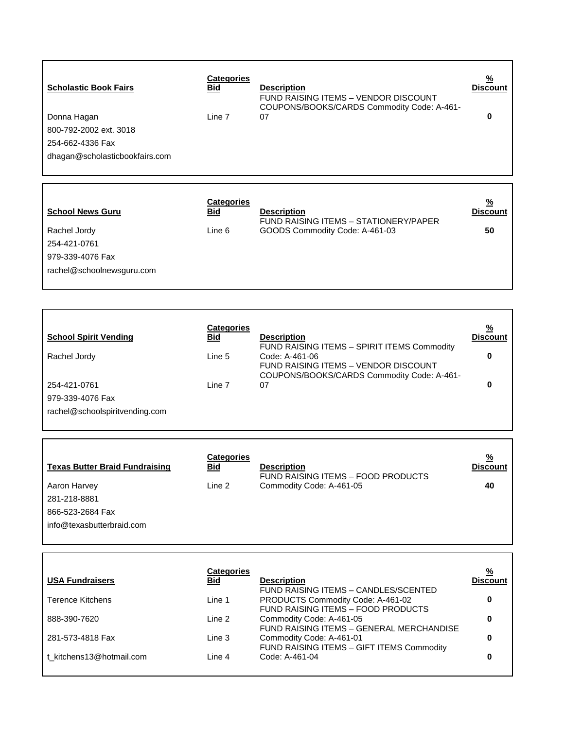| <b>Scholastic Book Fairs</b><br>Donna Hagan<br>800-792-2002 ext. 3018<br>254-662-4336 Fax<br>dhagan@scholasticbookfairs.com | <b>Categories</b><br><u>Bid</u><br>Line 7 | <b>Description</b><br>FUND RAISING ITEMS - VENDOR DISCOUNT<br>COUPONS/BOOKS/CARDS Commodity Code: A-461-<br>07 | $\frac{9}{6}$<br><b>Discount</b><br>0 |
|-----------------------------------------------------------------------------------------------------------------------------|-------------------------------------------|----------------------------------------------------------------------------------------------------------------|---------------------------------------|
| <b>School News Guru</b><br>Rachel Jordy<br>254-421-0761<br>979-339-4076 Fax<br>rachel@schoolnewsguru.com                    | <b>Categories</b><br>Bid<br>Line 6        | <b>Description</b><br>FUND RAISING ITEMS - STATIONERY/PAPER<br>GOODS Commodity Code: A-461-03                  | <u>%</u><br><b>Discount</b><br>50     |

|                                | <b>Categories</b> |                                             | <u>%</u>        |
|--------------------------------|-------------------|---------------------------------------------|-----------------|
| <b>School Spirit Vending</b>   | Bid               | <b>Description</b>                          | <b>Discount</b> |
|                                |                   | FUND RAISING ITEMS - SPIRIT ITEMS Commodity |                 |
| Rachel Jordy                   | Line 5            | Code: A-461-06                              |                 |
|                                |                   | FUND RAISING ITEMS - VENDOR DISCOUNT        |                 |
|                                |                   | COUPONS/BOOKS/CARDS Commodity Code: A-461-  |                 |
| 254-421-0761                   | Line 7            | 07                                          |                 |
| 979-339-4076 Fax               |                   |                                             |                 |
| rachel@schoolspiritvending.com |                   |                                             |                 |
|                                |                   |                                             |                 |

 $\mathsf{L}$ 

L

 $\mathbf{r}$ 

| <b>Texas Butter Braid Fundraising</b> | <b>Categories</b><br>Bid | <b>Description</b><br>FUND RAISING ITEMS - FOOD PRODUCTS | $\frac{9}{6}$<br><b>Discount</b> |
|---------------------------------------|--------------------------|----------------------------------------------------------|----------------------------------|
| Aaron Harvey                          | Line 2                   | Commodity Code: A-461-05                                 | 40                               |
| 281-218-8881                          |                          |                                                          |                                  |
| 866-523-2684 Fax                      |                          |                                                          |                                  |
| info@texasbutterbraid.com             |                          |                                                          |                                  |
|                                       |                          |                                                          |                                  |

|                          | Categories |                                           | <u>%</u>        |
|--------------------------|------------|-------------------------------------------|-----------------|
| <b>USA Fundraisers</b>   | Bid        | <b>Description</b>                        | <b>Discount</b> |
|                          |            | FUND RAISING ITEMS - CANDLES/SCENTED      |                 |
| Terence Kitchens         | Line 1     | PRODUCTS Commodity Code: A-461-02         |                 |
|                          |            | FUND RAISING ITEMS - FOOD PRODUCTS        |                 |
| 888-390-7620             | Line 2     | Commodity Code: A-461-05                  |                 |
|                          |            | FUND RAISING ITEMS - GENERAL MERCHANDISE  |                 |
| 281-573-4818 Fax         | Line 3     | Commodity Code: A-461-01                  |                 |
|                          |            | FUND RAISING ITEMS - GIFT ITEMS Commodity |                 |
| t kitchens13@hotmail.com | Line 4     | Code: A-461-04                            |                 |
|                          |            |                                           |                 |